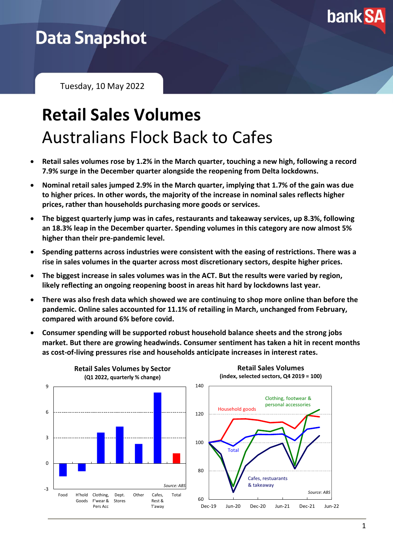

## **Data Snapshot**

Tuesday, 10 May 2022

## **Retail Sales Volumes** Australians Flock Back to Cafes

- **Retail sales volumes rose by 1.2% in the March quarter, touching a new high, following a record 7.9% surge in the December quarter alongside the reopening from Delta lockdowns.**
- **Nominal retail sales jumped 2.9% in the March quarter, implying that 1.7% of the gain was due to higher prices. In other words, the majority of the increase in nominal sales reflects higher prices, rather than households purchasing more goods or services.**
- **The biggest quarterly jump was in cafes, restaurants and takeaway services, up 8.3%, following an 18.3% leap in the December quarter. Spending volumes in this category are now almost 5% higher than their pre-pandemic level.**
- **Spending patterns across industries were consistent with the easing of restrictions. There was a rise in sales volumes in the quarter across most discretionary sectors, despite higher prices.**
- **The biggest increase in sales volumes was in the ACT. But the results were varied by region, likely reflecting an ongoing reopening boost in areas hit hard by lockdowns last year.**
- **There was also fresh data which showed we are continuing to shop more online than before the pandemic. Online sales accounted for 11.1% of retailing in March, unchanged from February, compared with around 6% before covid.**
- **Consumer spending will be supported robust household balance sheets and the strong jobs market. But there are growing headwinds. Consumer sentiment has taken a hit in recent months as cost-of-living pressures rise and households anticipate increases in interest rates.**

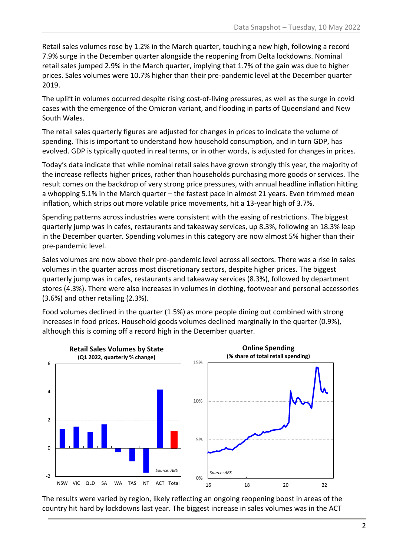Retail sales volumes rose by 1.2% in the March quarter, touching a new high, following a record 7.9% surge in the December quarter alongside the reopening from Delta lockdowns. Nominal retail sales jumped 2.9% in the March quarter, implying that 1.7% of the gain was due to higher prices. Sales volumes were 10.7% higher than their pre-pandemic level at the December quarter 2019.

The uplift in volumes occurred despite rising cost-of-living pressures, as well as the surge in covid cases with the emergence of the Omicron variant, and flooding in parts of Queensland and New South Wales.

The retail sales quarterly figures are adjusted for changes in prices to indicate the volume of spending. This is important to understand how household consumption, and in turn GDP, has evolved. GDP is typically quoted in real terms, or in other words, is adjusted for changes in prices.

Today's data indicate that while nominal retail sales have grown strongly this year, the majority of the increase reflects higher prices, rather than households purchasing more goods or services. The result comes on the backdrop of very strong price pressures, with annual headline inflation hitting a whopping 5.1% in the March quarter – the fastest pace in almost 21 years. Even trimmed mean inflation, which strips out more volatile price movements, hit a 13-year high of 3.7%.

Spending patterns across industries were consistent with the easing of restrictions. The biggest quarterly jump was in cafes, restaurants and takeaway services, up 8.3%, following an 18.3% leap in the December quarter. Spending volumes in this category are now almost 5% higher than their pre-pandemic level.

Sales volumes are now above their pre-pandemic level across all sectors. There was a rise in sales volumes in the quarter across most discretionary sectors, despite higher prices. The biggest quarterly jump was in cafes, restaurants and takeaway services (8.3%), followed by department stores (4.3%). There were also increases in volumes in clothing, footwear and personal accessories (3.6%) and other retailing (2.3%).

Food volumes declined in the quarter (1.5%) as more people dining out combined with strong increases in food prices. Household goods volumes declined marginally in the quarter (0.9%), although this is coming off a record high in the December quarter.



The results were varied by region, likely reflecting an ongoing reopening boost in areas of the country hit hard by lockdowns last year. The biggest increase in sales volumes was in the ACT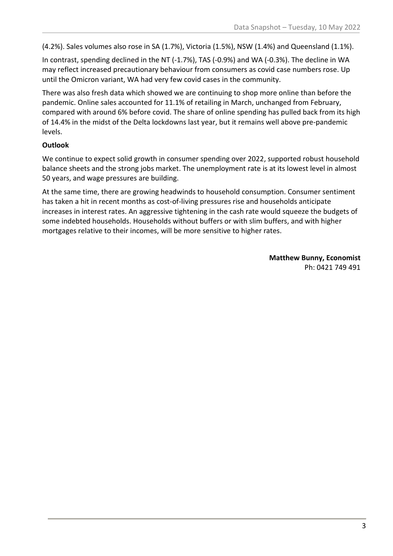(4.2%). Sales volumes also rose in SA (1.7%), Victoria (1.5%), NSW (1.4%) and Queensland (1.1%).

In contrast, spending declined in the NT (-1.7%), TAS (-0.9%) and WA (-0.3%). The decline in WA may reflect increased precautionary behaviour from consumers as covid case numbers rose. Up until the Omicron variant, WA had very few covid cases in the community.

There was also fresh data which showed we are continuing to shop more online than before the pandemic. Online sales accounted for 11.1% of retailing in March, unchanged from February, compared with around 6% before covid. The share of online spending has pulled back from its high of 14.4% in the midst of the Delta lockdowns last year, but it remains well above pre-pandemic levels.

## **Outlook**

We continue to expect solid growth in consumer spending over 2022, supported robust household balance sheets and the strong jobs market. The unemployment rate is at its lowest level in almost 50 years, and wage pressures are building.

At the same time, there are growing headwinds to household consumption. Consumer sentiment has taken a hit in recent months as cost-of-living pressures rise and households anticipate increases in interest rates. An aggressive tightening in the cash rate would squeeze the budgets of some indebted households. Households without buffers or with slim buffers, and with higher mortgages relative to their incomes, will be more sensitive to higher rates.

> **Matthew Bunny, Economist** Ph: 0421 749 491